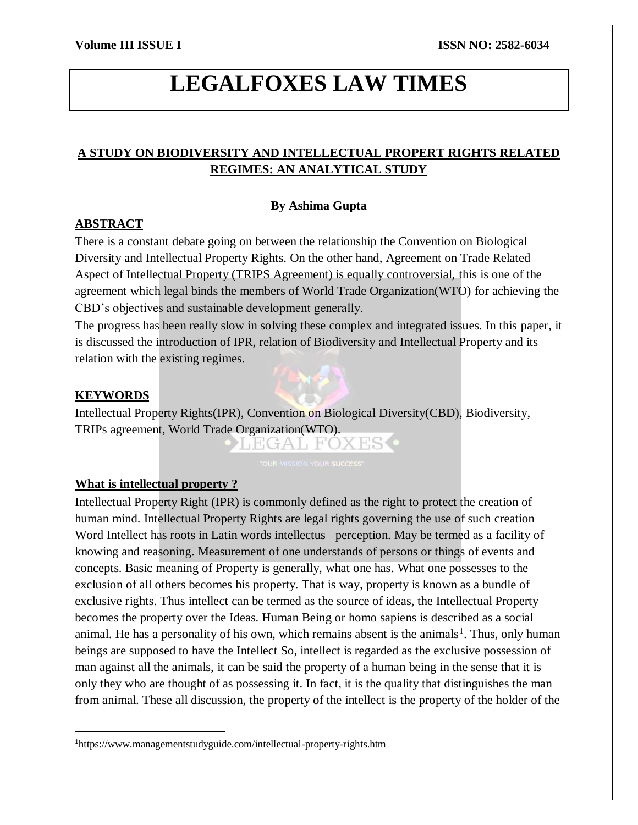# **LEGALFOXES LAW TIMES**

# **A STUDY ON BIODIVERSITY AND INTELLECTUAL PROPERT RIGHTS RELATED REGIMES: AN ANALYTICAL STUDY**

# **By Ashima Gupta**

# **ABSTRACT**

There is a constant debate going on between the relationship the Convention on Biological Diversity and Intellectual Property Rights. On the other hand, Agreement on Trade Related Aspect of Intellectual Property (TRIPS Agreement) is equally controversial, this is one of the agreement which legal binds the members of World Trade Organization(WTO) for achieving the CBD's objectives and sustainable development generally.

The progress has been really slow in solving these complex and integrated issues. In this paper, it is discussed the introduction of IPR, relation of Biodiversity and Intellectual Property and its relation with the existing regimes.

# **KEYWORDS**

 $\overline{a}$ 

Intellectual Property Rights(IPR), Convention on Biological Diversity(CBD), Biodiversity, TRIPs agreement, World Trade Organization(WTO).

TEGAT FOXES C

# **What is intellectual property ?**

Intellectual Property Right (IPR) is commonly defined as the right to protect the creation of human mind. Intellectual Property Rights are legal rights governing the use of such creation Word Intellect has roots in Latin words intellectus –perception. May be termed as a facility of knowing and reasoning. Measurement of one understands of persons or things of events and concepts. Basic meaning of Property is generally, what one has. What one possesses to the exclusion of all others becomes his property. That is way, property is known as a bundle of exclusive rights. Thus intellect can be termed as the source of ideas, the Intellectual Property becomes the property over the Ideas. Human Being or homo sapiens is described as a social animal. He has a personality of his own, which remains absent is the animals<sup>1</sup>. Thus, only human beings are supposed to have the Intellect So, intellect is regarded as the exclusive possession of man against all the animals, it can be said the property of a human being in the sense that it is only they who are thought of as possessing it. In fact, it is the quality that distinguishes the man from animal. These all discussion, the property of the intellect is the property of the holder of the

<sup>1</sup>https://www.managementstudyguide.com/intellectual-property-rights.htm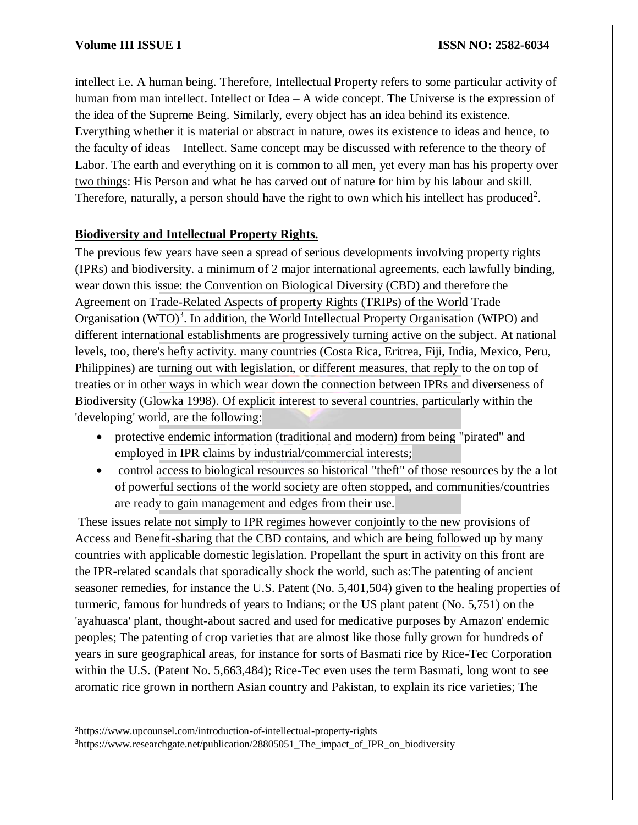intellect i.e. A human being. Therefore, Intellectual Property refers to some particular activity of human from man intellect. Intellect or Idea – A wide concept. The Universe is the expression of the idea of the Supreme Being. Similarly, every object has an idea behind its existence. Everything whether it is material or abstract in nature, owes its existence to ideas and hence, to the faculty of ideas – Intellect. Same concept may be discussed with reference to the theory of Labor. The earth and everything on it is common to all men, yet every man has his property over two things: His Person and what he has carved out of nature for him by his labour and skill. Therefore, naturally, a person should have the right to own which his intellect has produced<sup>2</sup>.

### **Biodiversity and Intellectual Property Rights.**

The previous few years have seen a spread of serious developments involving property rights (IPRs) and biodiversity. a minimum of 2 major international agreements, each lawfully binding, wear down this issue: the Convention on Biological Diversity (CBD) and therefore the Agreement on Trade-Related Aspects of property Rights (TRIPs) of the World Trade Organisation (WTO)<sup>3</sup>. In addition, the World Intellectual Property Organisation (WIPO) and different international establishments are progressively turning active on the subject. At national levels, too, there's hefty activity. many countries (Costa Rica, Eritrea, Fiji, India, Mexico, Peru, Philippines) are turning out with legislation, or different measures, that reply to the on top of treaties or in other ways in which wear down the connection between IPRs and diverseness of Biodiversity (Glowka 1998). Of explicit interest to several countries, particularly within the 'developing' world, are the following:

- protective endemic information (traditional and modern) from being "pirated" and employed in IPR claims by industrial/commercial interests;
- control access to biological resources so historical "theft" of those resources by the a lot of powerful sections of the world society are often stopped, and communities/countries are ready to gain management and edges from their use.

These issues relate not simply to IPR regimes however conjointly to the new provisions of Access and Benefit-sharing that the CBD contains, and which are being followed up by many countries with applicable domestic legislation. Propellant the spurt in activity on this front are the IPR-related scandals that sporadically shock the world, such as:The patenting of ancient seasoner remedies, for instance the U.S. Patent (No. 5,401,504) given to the healing properties of turmeric, famous for hundreds of years to Indians; or the US plant patent (No. 5,751) on the 'ayahuasca' plant, thought-about sacred and used for medicative purposes by Amazon' endemic peoples; The patenting of crop varieties that are almost like those fully grown for hundreds of years in sure geographical areas, for instance for sorts of Basmati rice by Rice-Tec Corporation within the U.S. (Patent No. 5,663,484); Rice-Tec even uses the term Basmati, long wont to see aromatic rice grown in northern Asian country and Pakistan, to explain its rice varieties; The

 $\overline{\phantom{a}}$ 

<sup>2</sup>https://www.upcounsel.com/introduction-of-intellectual-property-rights

<sup>3</sup>https://www.researchgate.net/publication/28805051\_The\_impact\_of\_IPR\_on\_biodiversity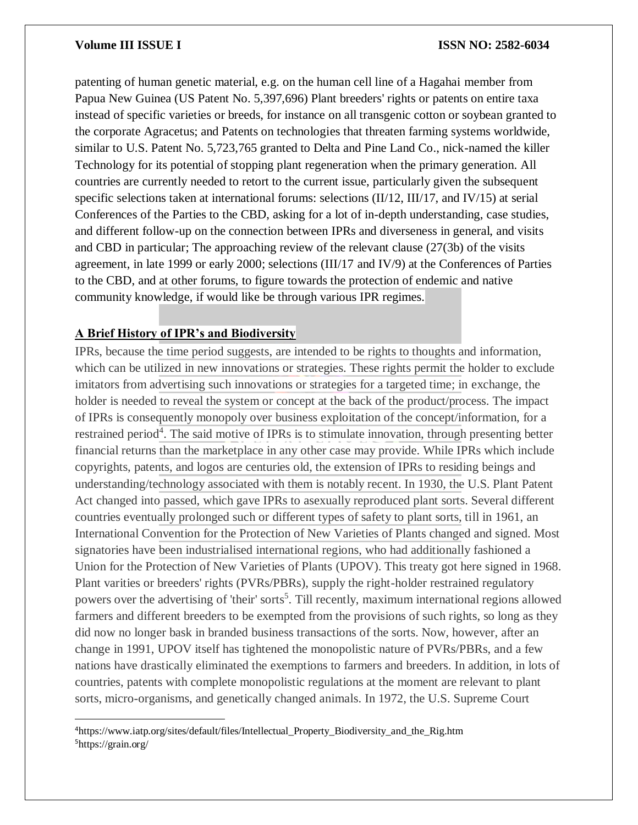patenting of human genetic material, e.g. on the human cell line of a Hagahai member from Papua New Guinea (US Patent No. 5,397,696) Plant breeders' rights or patents on entire taxa instead of specific varieties or breeds, for instance on all transgenic cotton or soybean granted to the corporate Agracetus; and Patents on technologies that threaten farming systems worldwide, similar to U.S. Patent No. 5,723,765 granted to Delta and Pine Land Co., nick-named the killer Technology for its potential of stopping plant regeneration when the primary generation. All countries are currently needed to retort to the current issue, particularly given the subsequent specific selections taken at international forums: selections (II/12, III/17, and IV/15) at serial Conferences of the Parties to the CBD, asking for a lot of in-depth understanding, case studies, and different follow-up on the connection between IPRs and diverseness in general, and visits and CBD in particular; The approaching review of the relevant clause (27(3b) of the visits agreement, in late 1999 or early 2000; selections (III/17 and IV/9) at the Conferences of Parties to the CBD, and at other forums, to figure towards the protection of endemic and native community knowledge, if would like be through various IPR regimes.

# **A Brief History of IPR's and Biodiversity**

 $\overline{\phantom{a}}$ 

IPRs, because the time period suggests, are intended to be rights to thoughts and information, which can be utilized in new innovations or strategies. These rights permit the holder to exclude imitators from advertising such innovations or strategies for a targeted time; in exchange, the holder is needed to reveal the system or concept at the back of the product/process. The impact of IPRs is consequently monopoly over business exploitation of the concept/information, for a restrained period<sup>4</sup>. The said motive of IPRs is to stimulate innovation, through presenting better financial returns than the marketplace in any other case may provide. While IPRs which include copyrights, patents, and logos are centuries old, the extension of IPRs to residing beings and understanding/technology associated with them is notably recent. In 1930, the U.S. Plant Patent Act changed into passed, which gave IPRs to asexually reproduced plant sorts. Several different countries eventually prolonged such or different types of safety to plant sorts, till in 1961, an International Convention for the Protection of New Varieties of Plants changed and signed. Most signatories have been industrialised international regions, who had additionally fashioned a Union for the Protection of New Varieties of Plants (UPOV). This treaty got here signed in 1968. Plant varities or breeders' rights (PVRs/PBRs), supply the right-holder restrained regulatory powers over the advertising of 'their' sorts<sup>5</sup>. Till recently, maximum international regions allowed farmers and different breeders to be exempted from the provisions of such rights, so long as they did now no longer bask in branded business transactions of the sorts. Now, however, after an change in 1991, UPOV itself has tightened the monopolistic nature of PVRs/PBRs, and a few nations have drastically eliminated the exemptions to farmers and breeders. In addition, in lots of countries, patents with complete monopolistic regulations at the moment are relevant to plant sorts, micro-organisms, and genetically changed animals. In 1972, the U.S. Supreme Court

<sup>4</sup>https://www.iatp.org/sites/default/files/Intellectual\_Property\_Biodiversity\_and\_the\_Rig.htm 5https://grain.org/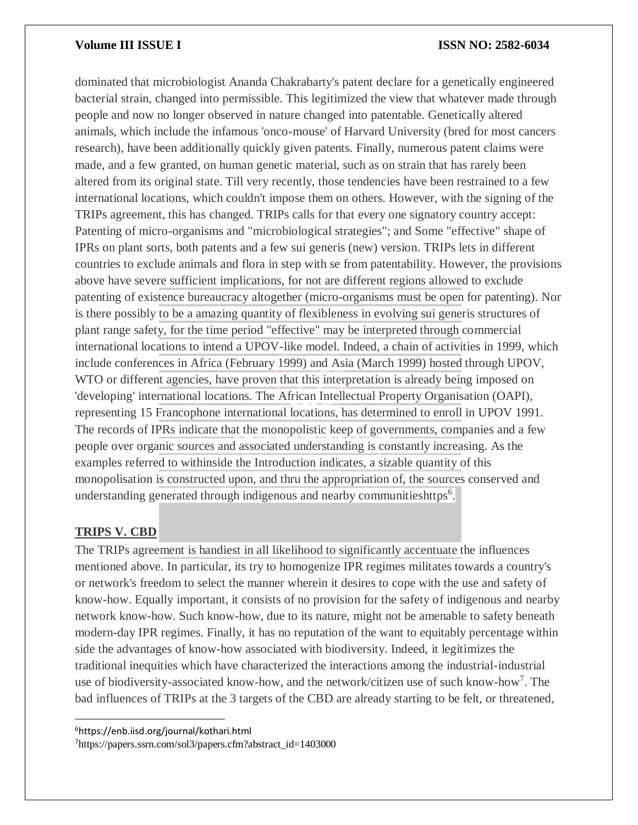dominated that microbiologist Ananda Chakrabarty's patent declare for a genetically engineered bacterial strain, changed into permissible. This legitimized the view that whatever made through people and now no longer observed in nature changed into patentable. Genetically altered animals, which include the infamous 'onco-mouse' of Harvard University (bred for most cancers research), have been additionally quickly given patents. Finally, numerous patent claims were made, and a few granted, on human genetic material, such as on strain that has rarely been altered from its original state. Till very recently, those tendencies have been restrained to a few international locations, which couldn't impose them on others. However, with the signing of the TRIPs agreement, this has changed. TRIPs calls for that every one signatory country accept: Patenting of micro-organisms and "microbiological strategies"; and Some "effective" shape of IPRs on plant sorts, both patents and a few sui generis (new) version. TRIPs lets in different countries to exclude animals and flora in step with se from patentability. However, the provisions above have severe sufficient implications, for not are different regions allowed to exclude patenting of existence bureaucracy altogether (micro-organisms must be open for patenting). Nor is there possibly to be a amazing quantity of flexibleness in evolving sui generis structures of plant range safety, for the time period "effective" may be interpreted through commercial international locations to intend a UPOV-like model. Indeed, a chain of activities in 1999, which include conferences in Africa (February 1999) and Asia (March 1999) hosted through UPOV, WTO or different agencies, have proven that this interpretation is already being imposed on 'developing' international locations. The African Intellectual Property Organisation (OAPI), representing 15 Francophone international locations, has determined to enroll in UPOV 1991. The records of IPRs indicate that the monopolistic keep of governments, companies and a few people over organic sources and associated understanding is constantly increasing. As the examples referred to withinside the Introduction indicates, a sizable quantity of this monopolisation is constructed upon, and thru the appropriation of, the sources conserved and understanding generated through indigenous and nearby communitieshttps<sup>6</sup>.

# **TRIPS V. CBD**

 $\overline{\phantom{a}}$ 

The TRIPs agreement is handiest in all likelihood to significantly accentuate the influences mentioned above. In particular, its try to homogenize IPR regimes militates towards a country's or network's freedom to select the manner wherein it desires to cope with the use and safety of know-how. Equally important, it consists of no provision for the safety of indigenous and nearby network know-how. Such know-how, due to its nature, might not be amenable to safety beneath modern-day IPR regimes. Finally, it has no reputation of the want to equitably percentage within side the advantages of know-how associated with biodiversity. Indeed, it legitimizes the traditional inequities which have characterized the interactions among the industrial-industrial use of biodiversity-associated know-how, and the network/citizen use of such know-how<sup>7</sup> . The bad influences of TRIPs at the 3 targets of the CBD are already starting to be felt, or threatened,

<sup>6</sup>https://enb.iisd.org/journal/kothari.html

7https://papers.ssrn.com/sol3/papers.cfm?abstract\_id=1403000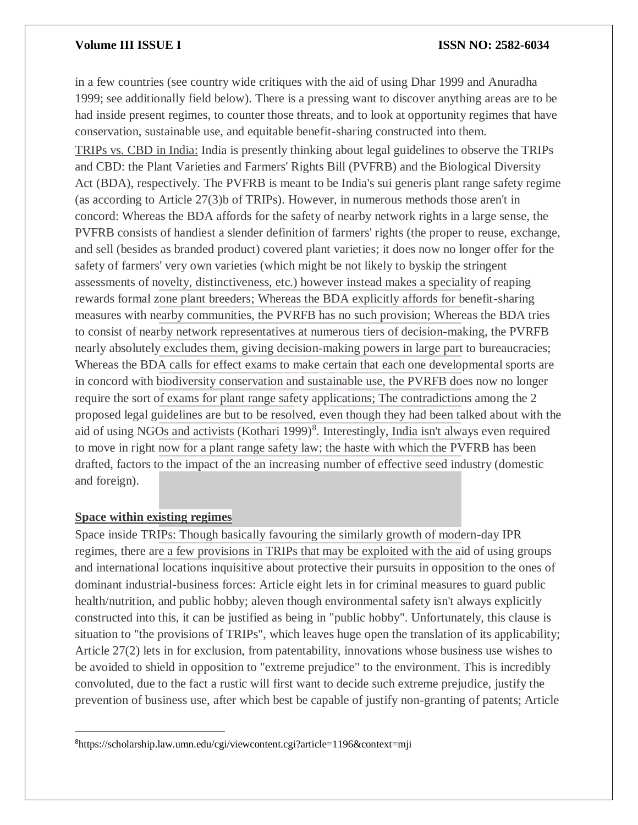in a few countries (see country wide critiques with the aid of using Dhar 1999 and Anuradha 1999; see additionally field below). There is a pressing want to discover anything areas are to be had inside present regimes, to counter those threats, and to look at opportunity regimes that have conservation, sustainable use, and equitable benefit-sharing constructed into them. TRIPs vs. CBD in India: India is presently thinking about legal guidelines to observe the TRIPs and CBD: the Plant Varieties and Farmers' Rights Bill (PVFRB) and the Biological Diversity Act (BDA), respectively. The PVFRB is meant to be India's sui generis plant range safety regime (as according to Article 27(3)b of TRIPs). However, in numerous methods those aren't in concord: Whereas the BDA affords for the safety of nearby network rights in a large sense, the PVFRB consists of handiest a slender definition of farmers' rights (the proper to reuse, exchange, and sell (besides as branded product) covered plant varieties; it does now no longer offer for the safety of farmers' very own varieties (which might be not likely to byskip the stringent assessments of novelty, distinctiveness, etc.) however instead makes a speciality of reaping rewards formal zone plant breeders; Whereas the BDA explicitly affords for benefit-sharing measures with nearby communities, the PVRFB has no such provision; Whereas the BDA tries to consist of nearby network representatives at numerous tiers of decision-making, the PVRFB nearly absolutely excludes them, giving decision-making powers in large part to bureaucracies; Whereas the BDA calls for effect exams to make certain that each one developmental sports are in concord with biodiversity conservation and sustainable use, the PVRFB does now no longer require the sort of exams for plant range safety applications; The contradictions among the 2 proposed legal guidelines are but to be resolved, even though they had been talked about with the aid of using NGOs and activists (Kothari 1999)<sup>8</sup>. Interestingly, India isn't always even required to move in right now for a plant range safety law; the haste with which the PVFRB has been drafted, factors to the impact of the an increasing number of effective seed industry (domestic and foreign).

### **Space within existing regimes**

 $\overline{a}$ 

Space inside TRIPs: Though basically favouring the similarly growth of modern-day IPR regimes, there are a few provisions in TRIPs that may be exploited with the aid of using groups and international locations inquisitive about protective their pursuits in opposition to the ones of dominant industrial-business forces: Article eight lets in for criminal measures to guard public health/nutrition, and public hobby; aleven though environmental safety isn't always explicitly constructed into this, it can be justified as being in "public hobby". Unfortunately, this clause is situation to "the provisions of TRIPs", which leaves huge open the translation of its applicability; Article 27(2) lets in for exclusion, from patentability, innovations whose business use wishes to be avoided to shield in opposition to "extreme prejudice" to the environment. This is incredibly convoluted, due to the fact a rustic will first want to decide such extreme prejudice, justify the prevention of business use, after which best be capable of justify non-granting of patents; Article

<sup>8</sup>https://scholarship.law.umn.edu/cgi/viewcontent.cgi?article=1196&context=mji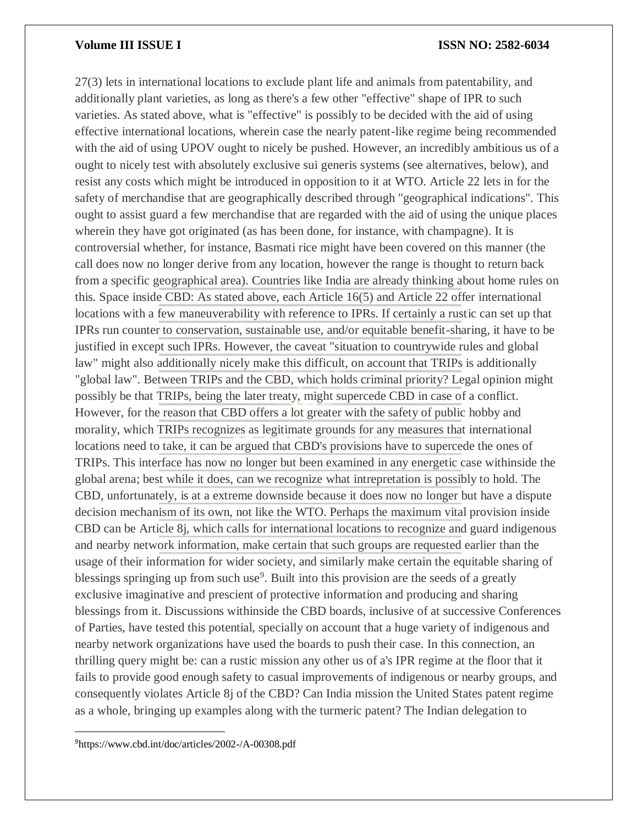27(3) lets in international locations to exclude plant life and animals from patentability, and additionally plant varieties, as long as there's a few other "effective" shape of IPR to such varieties. As stated above, what is "effective" is possibly to be decided with the aid of using effective international locations, wherein case the nearly patent-like regime being recommended with the aid of using UPOV ought to nicely be pushed. However, an incredibly ambitious us of a ought to nicely test with absolutely exclusive sui generis systems (see alternatives, below), and resist any costs which might be introduced in opposition to it at WTO. Article 22 lets in for the safety of merchandise that are geographically described through "geographical indications". This ought to assist guard a few merchandise that are regarded with the aid of using the unique places wherein they have got originated (as has been done, for instance, with champagne). It is controversial whether, for instance, Basmati rice might have been covered on this manner (the call does now no longer derive from any location, however the range is thought to return back from a specific geographical area). Countries like India are already thinking about home rules on this. Space inside CBD: As stated above, each Article 16(5) and Article 22 offer international locations with a few maneuverability with reference to IPRs. If certainly a rustic can set up that IPRs run counter to conservation, sustainable use, and/or equitable benefit-sharing, it have to be justified in except such IPRs. However, the caveat "situation to countrywide rules and global law" might also additionally nicely make this difficult, on account that TRIPs is additionally "global law". Between TRIPs and the CBD, which holds criminal priority? Legal opinion might possibly be that TRIPs, being the later treaty, might supercede CBD in case of a conflict. However, for the reason that CBD offers a lot greater with the safety of public hobby and morality, which TRIPs recognizes as legitimate grounds for any measures that international locations need to take, it can be argued that CBD's provisions have to supercede the ones of TRIPs. This interface has now no longer but been examined in any energetic case withinside the global arena; best while it does, can we recognize what intrepretation is possibly to hold. The CBD, unfortunately, is at a extreme downside because it does now no longer but have a dispute decision mechanism of its own, not like the WTO. Perhaps the maximum vital provision inside CBD can be Article 8j, which calls for international locations to recognize and guard indigenous and nearby network information, make certain that such groups are requested earlier than the usage of their information for wider society, and similarly make certain the equitable sharing of blessings springing up from such use<sup>9</sup>. Built into this provision are the seeds of a greatly exclusive imaginative and prescient of protective information and producing and sharing blessings from it. Discussions withinside the CBD boards, inclusive of at successive Conferences of Parties, have tested this potential, specially on account that a huge variety of indigenous and nearby network organizations have used the boards to push their case. In this connection, an thrilling query might be: can a rustic mission any other us of a's IPR regime at the floor that it fails to provide good enough safety to casual improvements of indigenous or nearby groups, and consequently violates Article 8j of the CBD? Can India mission the United States patent regime as a whole, bringing up examples along with the turmeric patent? The Indian delegation to

9https://www.cbd.int/doc/articles/2002-/A-00308.pdf

 $\overline{a}$